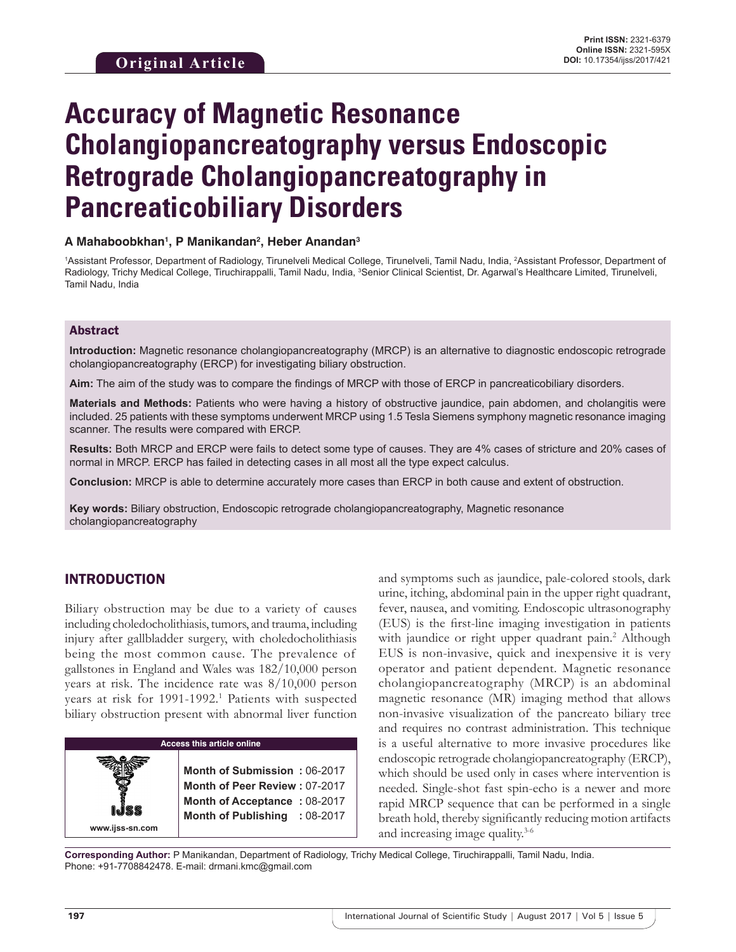# **Accuracy of Magnetic Resonance Cholangiopancreatography versus Endoscopic Retrograde Cholangiopancreatography in Pancreaticobiliary Disorders**

## **A Mahaboobkhan1 , P Manikandan2 , Heber Anandan3**

1Assistant Professor, Department of Radiology, Tirunelveli Medical College, Tirunelveli, Tamil Nadu, India, 2Assistant Professor, Department of Radiology, Trichy Medical College, Tiruchirappalli, Tamil Nadu, India, <sup>3</sup>Senior Clinical Scientist, Dr. Agarwal's Healthcare Limited, Tirunelveli, Tamil Nadu, India

#### Abstract

**Introduction:** Magnetic resonance cholangiopancreatography (MRCP) is an alternative to diagnostic endoscopic retrograde cholangiopancreatography (ERCP) for investigating biliary obstruction.

**Aim:** The aim of the study was to compare the findings of MRCP with those of ERCP in pancreaticobiliary disorders.

**Materials and Methods:** Patients who were having a history of obstructive jaundice, pain abdomen, and cholangitis were included. 25 patients with these symptoms underwent MRCP using 1.5 Tesla Siemens symphony magnetic resonance imaging scanner. The results were compared with ERCP.

**Results:** Both MRCP and ERCP were fails to detect some type of causes. They are 4% cases of stricture and 20% cases of normal in MRCP. ERCP has failed in detecting cases in all most all the type expect calculus.

**Conclusion:** MRCP is able to determine accurately more cases than ERCP in both cause and extent of obstruction.

**Key words:** Biliary obstruction, Endoscopic retrograde cholangiopancreatography, Magnetic resonance cholangiopancreatography

# INTRODUCTION

**www.ijss-sn.com**

Biliary obstruction may be due to a variety of causes including choledocholithiasis, tumors, and trauma, including injury after gallbladder surgery, with choledocholithiasis being the most common cause. The prevalence of gallstones in England and Wales was 182/10,000 person years at risk. The incidence rate was 8/10,000 person years at risk for 1991-1992.<sup>1</sup> Patients with suspected biliary obstruction present with abnormal liver function

#### **Access this article online**

**Month of Submission :** 06-2017 **Month of Peer Review :** 07-2017 **Month of Acceptance :** 08-2017 **Month of Publishing :** 08-2017 and symptoms such as jaundice, pale-colored stools, dark urine, itching, abdominal pain in the upper right quadrant, fever, nausea, and vomiting. Endoscopic ultrasonography (EUS) is the first-line imaging investigation in patients with jaundice or right upper quadrant pain.<sup>2</sup> Although EUS is non-invasive, quick and inexpensive it is very operator and patient dependent. Magnetic resonance cholangiopancreatography (MRCP) is an abdominal magnetic resonance (MR) imaging method that allows non-invasive visualization of the pancreato biliary tree and requires no contrast administration. This technique is a useful alternative to more invasive procedures like endoscopic retrograde cholangiopancreatography (ERCP), which should be used only in cases where intervention is needed. Single-shot fast spin-echo is a newer and more rapid MRCP sequence that can be performed in a single breath hold, thereby significantly reducing motion artifacts and increasing image quality.3-6

**Corresponding Author:** P Manikandan, Department of Radiology, Trichy Medical College, Tiruchirappalli, Tamil Nadu, India. Phone: +91-7708842478. E-mail: drmani.kmc@gmail.com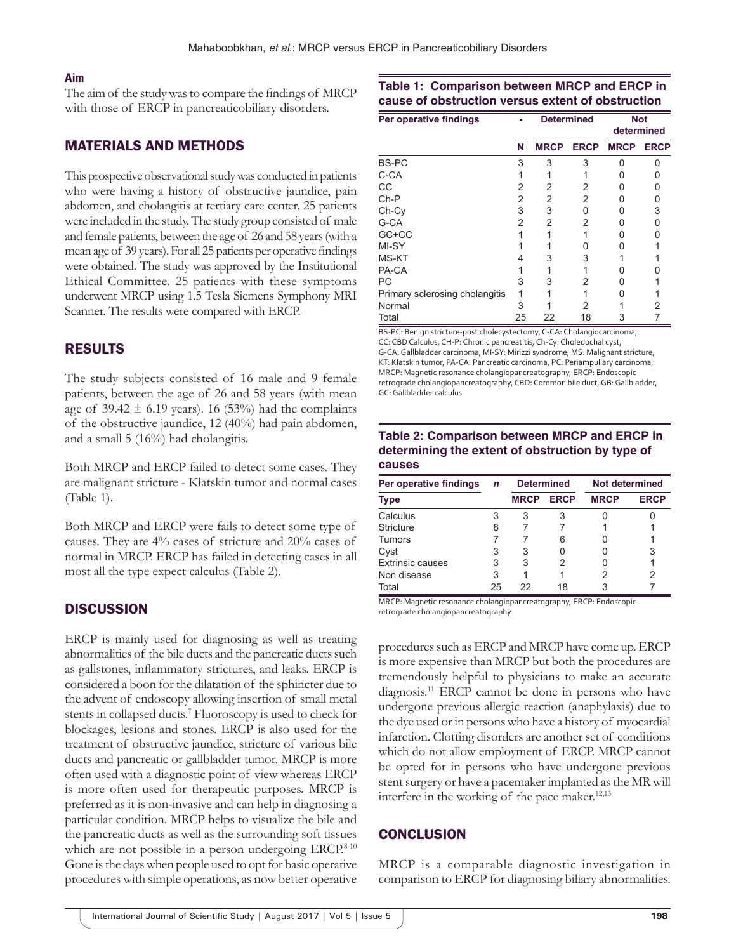#### **Aim**

The aim of the study was to compare the findings of MRCP with those of ERCP in pancreaticobiliary disorders.

# MATERIALS AND METHODS

This prospective observational study was conducted in patients who were having a history of obstructive jaundice, pain abdomen, and cholangitis at tertiary care center. 25 patients were included in the study. The study group consisted of male and female patients, between the age of 26 and 58 years (with a mean age of 39 years). For all 25 patients per operative findings were obtained. The study was approved by the Institutional Ethical Committee. 25 patients with these symptoms underwent MRCP using 1.5 Tesla Siemens Symphony MRI Scanner. The results were compared with ERCP.

# RESULTS

The study subjects consisted of 16 male and 9 female patients, between the age of 26 and 58 years (with mean age of  $39.42 \pm 6.19$  years). 16 (53%) had the complaints of the obstructive jaundice, 12 (40%) had pain abdomen, and a small 5 (16%) had cholangitis.

Both MRCP and ERCP failed to detect some cases. They are malignant stricture - Klatskin tumor and normal cases (Table 1).

Both MRCP and ERCP were fails to detect some type of causes. They are 4% cases of stricture and 20% cases of normal in MRCP. ERCP has failed in detecting cases in all most all the type expect calculus (Table 2).

## **DISCUSSION**

ERCP is mainly used for diagnosing as well as treating abnormalities of the bile ducts and the pancreatic ducts such as gallstones, inflammatory strictures, and leaks. ERCP is considered a boon for the dilatation of the sphincter due to the advent of endoscopy allowing insertion of small metal stents in collapsed ducts.<sup>7</sup> Fluoroscopy is used to check for blockages, lesions and stones. ERCP is also used for the treatment of obstructive jaundice, stricture of various bile ducts and pancreatic or gallbladder tumor. MRCP is more often used with a diagnostic point of view whereas ERCP is more often used for therapeutic purposes. MRCP is preferred as it is non-invasive and can help in diagnosing a particular condition. MRCP helps to visualize the bile and the pancreatic ducts as well as the surrounding soft tissues which are not possible in a person undergoing  $ERCP<sup>8-10</sup>$ Gone is the days when people used to opt for basic operative procedures with simple operations, as now better operative

# **Table 1: Comparison between MRCP and ERCP in cause of obstruction versus extent of obstruction**

| Per operative findings         |    | <b>Determined</b> |             | <b>Not</b><br>determined |             |
|--------------------------------|----|-------------------|-------------|--------------------------|-------------|
|                                | N  | <b>MRCP</b>       | <b>ERCP</b> | <b>MRCP</b>              | <b>ERCP</b> |
| <b>BS-PC</b>                   | 3  | 3                 | 3           | U                        | U           |
| C-CA                           |    |                   |             | 0                        | O           |
| CC                             | 2  | 2                 | 2           | 0                        | O           |
| $Ch-P$                         | 2  | 2                 | 2           | n                        | U           |
| Ch-Cy                          | 3  | 3                 | U           |                          | 3           |
| G-CA                           | 2  | 2                 | 2           |                          |             |
| GC+CC                          |    |                   |             |                          |             |
| MI-SY                          |    |                   |             |                          |             |
| MS-KT                          |    | З                 | 3           |                          |             |
| PA-CA                          |    |                   |             |                          |             |
| PC                             | 3  | 3                 | 2           |                          |             |
| Primary sclerosing cholangitis |    |                   |             |                          |             |
| Normal                         | 3  |                   | 2           |                          |             |
| Total                          | 25 | 22                | 18          |                          |             |

BS‑PC: Benign stricture‑post cholecystectomy, C‑CA: Cholangiocarcinoma, CC: CBD Calculus, CH‑P: Chronic pancreatitis, Ch‑Cy: Choledochal cyst, G‑CA: Gallbladder carcinoma, MI‑SY: Mirizzi syndrome, MS: Malignant stricture, KT: Klatskin tumor, PA‑CA: Pancreatic carcinoma, PC: Periampullary carcinoma, MRCP: Magnetic resonance cholangiopancreatography, ERCP: Endoscopic retrograde cholangiopancreatography, CBD: Common bile duct, GB: Gallbladder, GC: Gallbladder calculus

#### **Table 2: Comparison between MRCP and ERCP in determining the extent of obstruction by type of causes**

| Per operative findings  | $\mathbf n$ | <b>Determined</b> |             | <b>Not determined</b> |             |
|-------------------------|-------------|-------------------|-------------|-----------------------|-------------|
| <b>Type</b>             |             | <b>MRCP</b>       | <b>ERCP</b> | <b>MRCP</b>           | <b>ERCP</b> |
| Calculus                |             |                   |             |                       |             |
| <b>Stricture</b>        | 8           |                   |             |                       |             |
| Tumors                  |             |                   | 6           |                       |             |
| Cyst                    | 3           | 3                 |             |                       | 3           |
| <b>Extrinsic causes</b> | 3           | 3                 |             |                       |             |
| Non disease             | 3           |                   |             | 2                     | 2           |
| Total                   | 25          | 22                | 18          | 3                     |             |

MRCP: Magnetic resonance cholangiopancreatography, ERCP: Endoscopic retrograde cholangiopancreatography

procedures such as ERCP and MRCP have come up. ERCP is more expensive than MRCP but both the procedures are tremendously helpful to physicians to make an accurate diagnosis.11 ERCP cannot be done in persons who have undergone previous allergic reaction (anaphylaxis) due to the dye used or in persons who have a history of myocardial infarction. Clotting disorders are another set of conditions which do not allow employment of ERCP. MRCP cannot be opted for in persons who have undergone previous stent surgery or have a pacemaker implanted as the MR will interfere in the working of the pace maker. $12,13$ 

## **CONCLUSION**

MRCP is a comparable diagnostic investigation in comparison to ERCP for diagnosing biliary abnormalities.